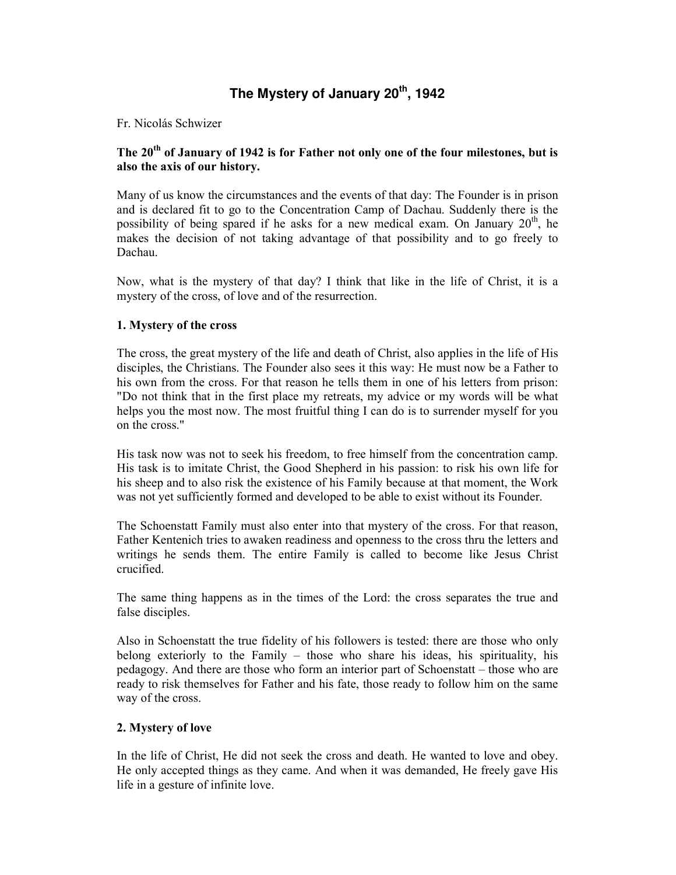# **The Mystery of January 20th, 1942**

#### Fr. Nicolás Schwizer

## The 20<sup>th</sup> of January of 1942 is for Father not only one of the four milestones, but is also the axis of our history.

Many of us know the circumstances and the events of that day: The Founder is in prison and is declared fit to go to the Concentration Camp of Dachau. Suddenly there is the possibility of being spared if he asks for a new medical exam. On January  $20<sup>th</sup>$ , he makes the decision of not taking advantage of that possibility and to go freely to Dachau.

Now, what is the mystery of that day? I think that like in the life of Christ, it is a mystery of the cross, of love and of the resurrection.

#### 1. Mystery of the cross

The cross, the great mystery of the life and death of Christ, also applies in the life of His disciples, the Christians. The Founder also sees it this way: He must now be a Father to his own from the cross. For that reason he tells them in one of his letters from prison: "Do not think that in the first place my retreats, my advice or my words will be what helps you the most now. The most fruitful thing I can do is to surrender myself for you on the cross."

His task now was not to seek his freedom, to free himself from the concentration camp. His task is to imitate Christ, the Good Shepherd in his passion: to risk his own life for his sheep and to also risk the existence of his Family because at that moment, the Work was not yet sufficiently formed and developed to be able to exist without its Founder.

The Schoenstatt Family must also enter into that mystery of the cross. For that reason, Father Kentenich tries to awaken readiness and openness to the cross thru the letters and writings he sends them. The entire Family is called to become like Jesus Christ crucified.

The same thing happens as in the times of the Lord: the cross separates the true and false disciples.

Also in Schoenstatt the true fidelity of his followers is tested: there are those who only belong exteriorly to the Family – those who share his ideas, his spirituality, his pedagogy. And there are those who form an interior part of Schoenstatt – those who are ready to risk themselves for Father and his fate, those ready to follow him on the same way of the cross.

#### 2. Mystery of love

In the life of Christ, He did not seek the cross and death. He wanted to love and obey. He only accepted things as they came. And when it was demanded, He freely gave His life in a gesture of infinite love.